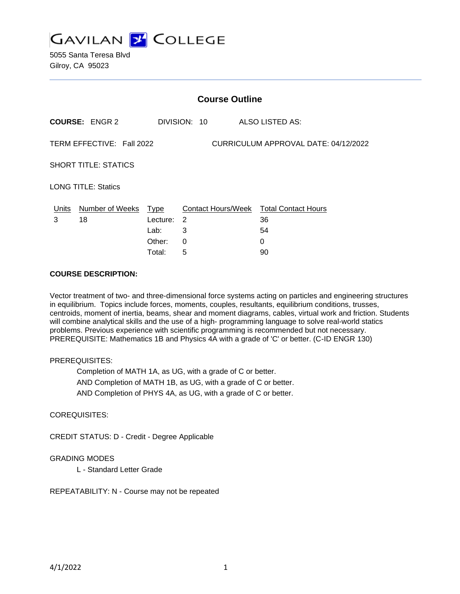

5055 Santa Teresa Blvd Gilroy, CA 95023

| <b>Course Outline</b>                                             |                                              |                  |                                                               |
|-------------------------------------------------------------------|----------------------------------------------|------------------|---------------------------------------------------------------|
| <b>COURSE: ENGR 2</b>                                             |                                              |                  | ALSO LISTED AS:                                               |
| TERM EFFECTIVE: Fall 2022<br>CURRICULUM APPROVAL DATE: 04/12/2022 |                                              |                  |                                                               |
| <b>SHORT TITLE: STATICS</b>                                       |                                              |                  |                                                               |
| <b>LONG TITLE: Statics</b>                                        |                                              |                  |                                                               |
| Number of Weeks<br>18                                             | Type<br>Lecture:<br>Lab:<br>Other:<br>Total: | 2<br>3<br>0<br>5 | Contact Hours/Week Total Contact Hours<br>36<br>54<br>0<br>90 |
|                                                                   |                                              |                  | DIVISION: 10                                                  |

#### **COURSE DESCRIPTION:**

Vector treatment of two- and three-dimensional force systems acting on particles and engineering structures in equilibrium. Topics include forces, moments, couples, resultants, equilibrium conditions, trusses, centroids, moment of inertia, beams, shear and moment diagrams, cables, virtual work and friction. Students will combine analytical skills and the use of a high- programming language to solve real-world statics problems. Previous experience with scientific programming is recommended but not necessary. PREREQUISITE: Mathematics 1B and Physics 4A with a grade of 'C' or better. (C-ID ENGR 130)

### PREREQUISITES:

Completion of MATH 1A, as UG, with a grade of C or better.

AND Completion of MATH 1B, as UG, with a grade of C or better.

AND Completion of PHYS 4A, as UG, with a grade of C or better.

### COREQUISITES:

CREDIT STATUS: D - Credit - Degree Applicable

### GRADING MODES

L - Standard Letter Grade

REPEATABILITY: N - Course may not be repeated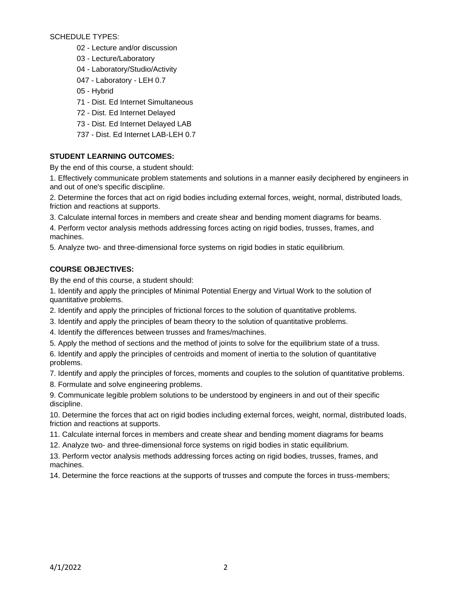SCHEDULE TYPES:

- 02 Lecture and/or discussion
- 03 Lecture/Laboratory
- 04 Laboratory/Studio/Activity
- 047 Laboratory LEH 0.7
- 05 Hybrid
- 71 Dist. Ed Internet Simultaneous
- 72 Dist. Ed Internet Delayed
- 73 Dist. Ed Internet Delayed LAB
- 737 Dist. Ed Internet LAB-LEH 0.7

## **STUDENT LEARNING OUTCOMES:**

By the end of this course, a student should:

1. Effectively communicate problem statements and solutions in a manner easily deciphered by engineers in and out of one's specific discipline.

2. Determine the forces that act on rigid bodies including external forces, weight, normal, distributed loads, friction and reactions at supports.

3. Calculate internal forces in members and create shear and bending moment diagrams for beams.

4. Perform vector analysis methods addressing forces acting on rigid bodies, trusses, frames, and machines.

5. Analyze two- and three-dimensional force systems on rigid bodies in static equilibrium.

### **COURSE OBJECTIVES:**

By the end of this course, a student should:

1. Identify and apply the principles of Minimal Potential Energy and Virtual Work to the solution of quantitative problems.

- 2. Identify and apply the principles of frictional forces to the solution of quantitative problems.
- 3. Identify and apply the principles of beam theory to the solution of quantitative problems.
- 4. Identify the differences between trusses and frames/machines.
- 5. Apply the method of sections and the method of joints to solve for the equilibrium state of a truss.

6. Identify and apply the principles of centroids and moment of inertia to the solution of quantitative problems.

7. Identify and apply the principles of forces, moments and couples to the solution of quantitative problems.

8. Formulate and solve engineering problems.

9. Communicate legible problem solutions to be understood by engineers in and out of their specific discipline.

10. Determine the forces that act on rigid bodies including external forces, weight, normal, distributed loads, friction and reactions at supports.

- 11. Calculate internal forces in members and create shear and bending moment diagrams for beams
- 12. Analyze two- and three-dimensional force systems on rigid bodies in static equilibrium.

13. Perform vector analysis methods addressing forces acting on rigid bodies, trusses, frames, and machines.

14. Determine the force reactions at the supports of trusses and compute the forces in truss-members;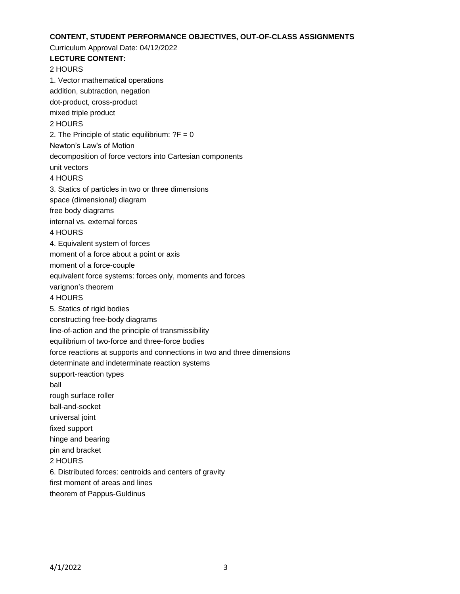## **CONTENT, STUDENT PERFORMANCE OBJECTIVES, OUT-OF-CLASS ASSIGNMENTS**

Curriculum Approval Date: 04/12/2022 **LECTURE CONTENT:** 2 HOURS 1. Vector mathematical operations addition, subtraction, negation dot-product, cross-product mixed triple product 2 HOURS 2. The Principle of static equilibrium:  $?F = 0$ Newton's Law's of Motion decomposition of force vectors into Cartesian components unit vectors 4 HOURS 3. Statics of particles in two or three dimensions space (dimensional) diagram free body diagrams internal vs. external forces 4 HOURS 4. Equivalent system of forces moment of a force about a point or axis moment of a force-couple equivalent force systems: forces only, moments and forces varignon's theorem 4 HOURS 5. Statics of rigid bodies constructing free-body diagrams line-of-action and the principle of transmissibility equilibrium of two-force and three-force bodies force reactions at supports and connections in two and three dimensions determinate and indeterminate reaction systems support-reaction types ball rough surface roller ball-and-socket universal joint fixed support hinge and bearing pin and bracket 2 HOURS 6. Distributed forces: centroids and centers of gravity first moment of areas and lines theorem of Pappus-Guldinus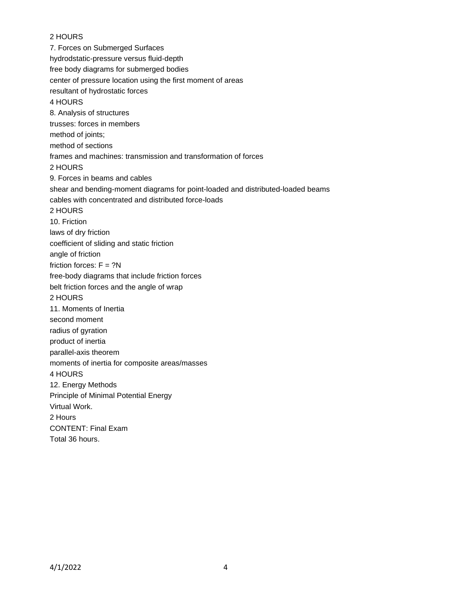## 2 HOURS

7. Forces on Submerged Surfaces hydrodstatic-pressure versus fluid-depth free body diagrams for submerged bodies center of pressure location using the first moment of areas resultant of hydrostatic forces 4 HOURS 8. Analysis of structures trusses: forces in members method of joints: method of sections frames and machines: transmission and transformation of forces 2 HOURS 9. Forces in beams and cables shear and bending-moment diagrams for point-loaded and distributed-loaded beams cables with concentrated and distributed force-loads 2 HOURS 10. Friction laws of dry friction coefficient of sliding and static friction angle of friction friction forces:  $F = ?N$ free-body diagrams that include friction forces belt friction forces and the angle of wrap 2 HOURS 11. Moments of Inertia second moment radius of gyration product of inertia parallel-axis theorem moments of inertia for composite areas/masses 4 HOURS 12. Energy Methods Principle of Minimal Potential Energy Virtual Work. 2 Hours CONTENT: Final Exam Total 36 hours.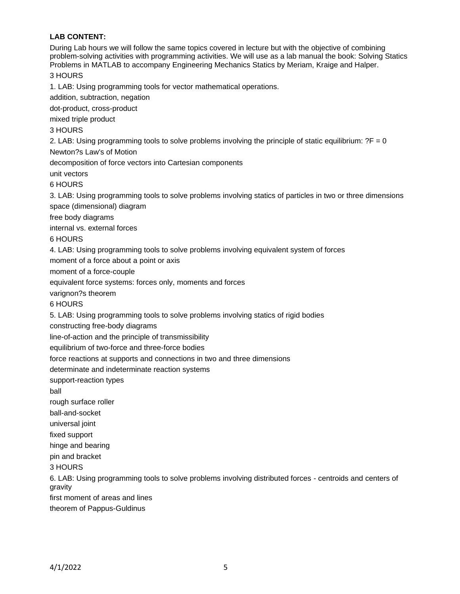# **LAB CONTENT:**

During Lab hours we will follow the same topics covered in lecture but with the objective of combining problem-solving activities with programming activities. We will use as a lab manual the book: Solving Statics Problems in MATLAB to accompany Engineering Mechanics Statics by Meriam, Kraige and Halper. 3 HOURS

1. LAB: Using programming tools for vector mathematical operations.

addition, subtraction, negation

dot-product, cross-product

mixed triple product

3 HOURS

2. LAB: Using programming tools to solve problems involving the principle of static equilibrium:  $?F = 0$ 

Newton?s Law's of Motion

decomposition of force vectors into Cartesian components

unit vectors

6 HOURS

3. LAB: Using programming tools to solve problems involving statics of particles in two or three dimensions space (dimensional) diagram

free body diagrams

internal vs. external forces

6 HOURS

4. LAB: Using programming tools to solve problems involving equivalent system of forces

moment of a force about a point or axis

moment of a force-couple

equivalent force systems: forces only, moments and forces

varignon?s theorem

6 HOURS

5. LAB: Using programming tools to solve problems involving statics of rigid bodies

constructing free-body diagrams

line-of-action and the principle of transmissibility

equilibrium of two-force and three-force bodies

force reactions at supports and connections in two and three dimensions

determinate and indeterminate reaction systems

support-reaction types

ball

rough surface roller

ball-and-socket

universal joint

fixed support

hinge and bearing

pin and bracket

3 HOURS

6. LAB: Using programming tools to solve problems involving distributed forces - centroids and centers of gravity

first moment of areas and lines

theorem of Pappus-Guldinus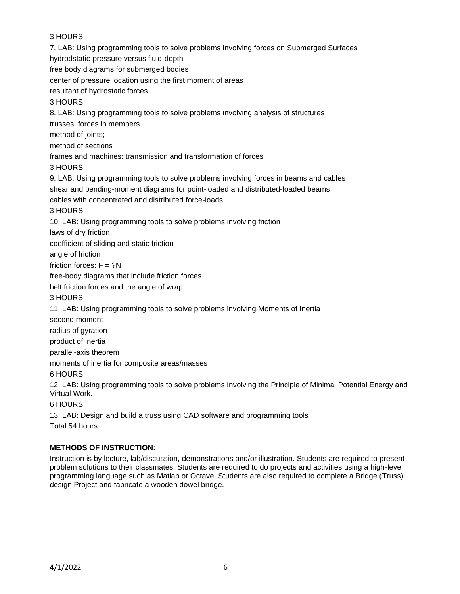# 3 HOURS

7. LAB: Using programming tools to solve problems involving forces on Submerged Surfaces hydrodstatic-pressure versus fluid-depth free body diagrams for submerged bodies center of pressure location using the first moment of areas resultant of hydrostatic forces 3 HOURS 8. LAB: Using programming tools to solve problems involving analysis of structures trusses: forces in members method of joints: method of sections frames and machines: transmission and transformation of forces 3 HOURS 9. LAB: Using programming tools to solve problems involving forces in beams and cables shear and bending-moment diagrams for point-loaded and distributed-loaded beams cables with concentrated and distributed force-loads 3 HOURS 10. LAB: Using programming tools to solve problems involving friction laws of dry friction coefficient of sliding and static friction angle of friction friction forces:  $F = ?N$ free-body diagrams that include friction forces belt friction forces and the angle of wrap 3 HOURS 11. LAB: Using programming tools to solve problems involving Moments of Inertia second moment radius of gyration product of inertia parallel-axis theorem moments of inertia for composite areas/masses 6 HOURS 12. LAB: Using programming tools to solve problems involving the Principle of Minimal Potential Energy and Virtual Work. 6 HOURS

13. LAB: Design and build a truss using CAD software and programming tools Total 54 hours.

### **METHODS OF INSTRUCTION:**

Instruction is by lecture, lab/discussion, demonstrations and/or illustration. Students are required to present problem solutions to their classmates. Students are required to do projects and activities using a high-level programming language such as Matlab or Octave. Students are also required to complete a Bridge (Truss) design Project and fabricate a wooden dowel bridge.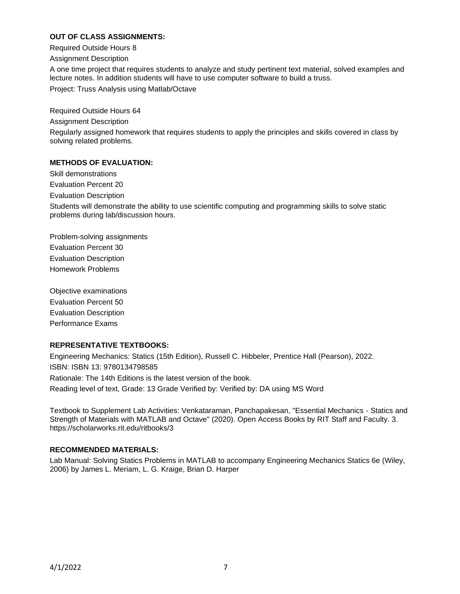## **OUT OF CLASS ASSIGNMENTS:**

Required Outside Hours 8

Assignment Description

A one time project that requires students to analyze and study pertinent text material, solved examples and lecture notes. In addition students will have to use computer software to build a truss.

Project: Truss Analysis using Matlab/Octave

Required Outside Hours 64

Assignment Description

Regularly assigned homework that requires students to apply the principles and skills covered in class by solving related problems.

### **METHODS OF EVALUATION:**

Skill demonstrations Evaluation Percent 20

Evaluation Description

Students will demonstrate the ability to use scientific computing and programming skills to solve static problems during lab/discussion hours.

Problem-solving assignments Evaluation Percent 30 Evaluation Description Homework Problems

Objective examinations Evaluation Percent 50 Evaluation Description Performance Exams

### **REPRESENTATIVE TEXTBOOKS:**

Engineering Mechanics: Statics (15th Edition), Russell C. Hibbeler, Prentice Hall (Pearson), 2022. ISBN: ISBN 13: 9780134798585 Rationale: The 14th Editions is the latest version of the book. Reading level of text, Grade: 13 Grade Verified by: Verified by: DA using MS Word

Textbook to Supplement Lab Activities: Venkataraman, Panchapakesan, "Essential Mechanics - Statics and Strength of Materials with MATLAB and Octave" (2020). Open Access Books by RIT Staff and Faculty. 3. https://scholarworks.rit.edu/ritbooks/3

### **RECOMMENDED MATERIALS:**

Lab Manual: Solving Statics Problems in MATLAB to accompany Engineering Mechanics Statics 6e (Wiley, 2006) by James L. Meriam, L. G. Kraige, Brian D. Harper